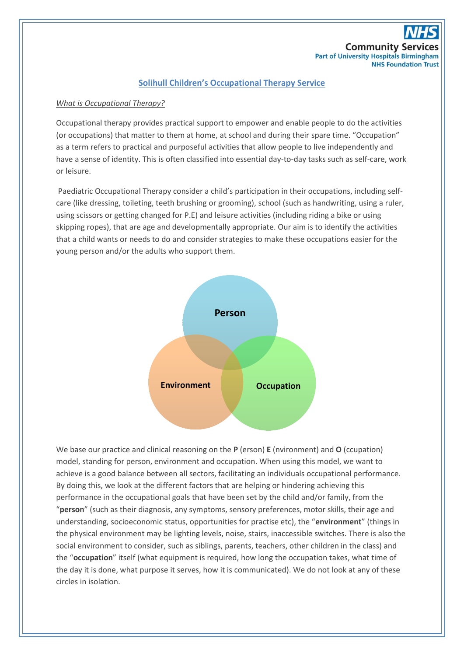

## **Solihull Children's Occupational Therapy Service**

### *What is Occupational Therapy?*

Occupational therapy provides practical support to empower and enable people to do the activities (or occupations) that matter to them at home, at school and during their spare time. "Occupation" as a term refers to practical and purposeful activities that allow people to live independently and have a sense of identity. This is often classified into essential day-to-day tasks such as self-care, work or leisure.

Paediatric Occupational Therapy consider a child's participation in their occupations, including selfcare (like dressing, toileting, teeth brushing or grooming), school (such as handwriting, using a ruler, using scissors or getting changed for P.E) and leisure activities (including riding a bike or using skipping ropes), that are age and developmentally appropriate. Our aim is to identify the activities that a child wants or needs to do and consider strategies to make these occupations easier for the young person and/or the adults who support them.



We base our practice and clinical reasoning on the **P** (erson) **E** (nvironment) and **O** (ccupation) model, standing for person, environment and occupation. When using this model, we want to achieve is a good balance between all sectors, facilitating an individuals occupational performance. By doing this, we look at the different factors that are helping or hindering achieving this performance in the occupational goals that have been set by the child and/or family, from the "**person**" (such as their diagnosis, any symptoms, sensory preferences, motor skills, their age and understanding, socioeconomic status, opportunities for practise etc), the "**environment**" (things in the physical environment may be lighting levels, noise, stairs, inaccessible switches. There is also the social environment to consider, such as siblings, parents, teachers, other children in the class) and the "**occupation**" itself (what equipment is required, how long the occupation takes, what time of the day it is done, what purpose it serves, how it is communicated). We do not look at any of these circles in isolation.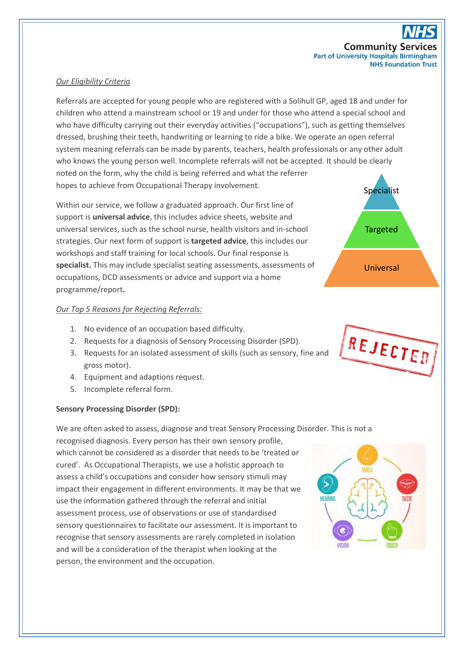

## *Our Eligibility Criteria*

Referrals are accepted for young people who are registered with a Solihull GP, aged 18 and under for children who attend a mainstream school or 19 and under for those who attend a special school and who have difficulty carrying out their everyday activities ("occupations"), such as getting themselves dressed, brushing their teeth, handwriting or learning to ride a bike. We operate an open referral system meaning referrals can be made by parents, teachers, health professionals or any other adult who knows the young person well. Incomplete referrals will not be accepted. It should be clearly noted on the form, why the child is being referred and what the referrer hopes to achieve from Occupational Therapy involvement.

Within our service, we follow a graduated approach. Our first line of support is **universal advice**, this includes advice sheets, website and universal services, such as the school nurse, health visitors and in-school strategies. Our next form of support is **targeted advice**, this includes our workshops and staff training for local schools. Our final response is **specialist.** This may include specialist seating assessments, assessments of occupations, DCD assessments or advice and support via a home programme/report**.**

### *Our Top 5 Reasons for Rejecting Referrals:*

- 1. No evidence of an occupation based difficulty.
- 2. Requests for a diagnosis of Sensory Processing Disorder (SPD).
- 3. Requests for an isolated assessment of skills (such as sensory, fine and gross motor).
- 4. Equipment and adaptions request.
- 5. Incomplete referral form.

### **Sensory Processing Disorder (SPD):**

We are often asked to assess, diagnose and treat Sensory Processing Disorder. This is not a

recognised diagnosis. Every person has their own sensory profile, which cannot be considered as a disorder that needs to be 'treated or cured'. As Occupational Therapists, we use a holistic approach to assess a child's occupations and consider how sensory stimuli may impact their engagement in different environments. It may be that we use the information gathered through the referral and initial assessment process, use of observations or use of standardised sensory questionnaires to facilitate our assessment. It is important to recognise that sensory assessments are rarely completed in isolation and will be a consideration of the therapist when looking at the person, the environment and the occupation.





REJECTED